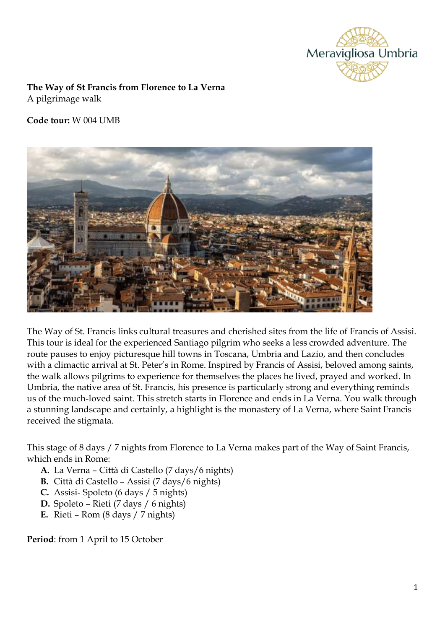

**The Way of St Francis from Florence to La Verna**  A pilgrimage walk

### **Code tour:** W 004 UMB



The Way of St. Francis links cultural treasures and cherished sites from the life of Francis of Assisi. This tour is ideal for the experienced Santiago pilgrim who seeks a less crowded adventure. The route pauses to enjoy picturesque hill towns in Toscana, Umbria and Lazio, and then concludes with a climactic arrival at St. Peter's in Rome. Inspired by Francis of Assisi, beloved among saints, the walk allows pilgrims to experience for themselves the places he lived, prayed and worked. In Umbria, the native area of St. Francis, his presence is particularly strong and everything reminds us of the much-loved saint. This stretch starts in Florence and ends in La Verna. You walk through a stunning landscape and certainly, a highlight is the monastery of La Verna, where Saint Francis received the stigmata.

This stage of 8 days / 7 nights from Florence to La Verna makes part of the Way of Saint Francis, which ends in Rome:

- **A.** La Verna Città di Castello (7 days/6 nights)
- **B.** Città di Castello Assisi (7 days/6 nights)
- **C.** Assisi- Spoleto (6 days / 5 nights)
- **D.** Spoleto Rieti (7 days / 6 nights)
- **E.** Rieti Rom (8 days / 7 nights)

**Period**: from 1 April to 15 October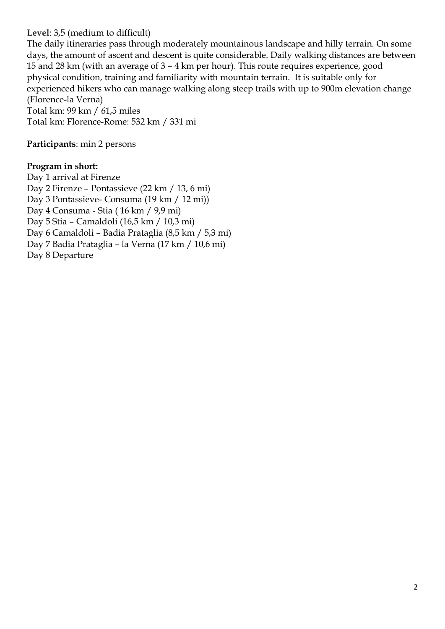#### **Level**: 3,5 (medium to difficult)

The daily itineraries pass through moderately mountainous landscape and hilly terrain. On some days, the amount of ascent and descent is quite considerable. Daily walking distances are between 15 and 28 km (with an average of 3 – 4 km per hour). This route requires experience, good physical condition, training and familiarity with mountain terrain. It is suitable only for experienced hikers who can manage walking along steep trails with up to 900m elevation change (Florence-la Verna)

Total km: 99 km / 61,5 miles Total km: Florence-Rome: 532 km / 331 mi

**Participants**: min 2 persons

#### **Program in short:**

Day 1 arrival at Firenze Day 2 Firenze – Pontassieve (22 km / 13, 6 mi) Day 3 Pontassieve- Consuma (19 km / 12 mi)) Day 4 Consuma - Stia ( 16 km / 9,9 mi) Day 5 Stia – Camaldoli (16,5 km / 10,3 mi) Day 6 Camaldoli – Badia Prataglia (8,5 km / 5,3 mi) Day 7 Badia Prataglia – la Verna (17 km / 10,6 mi) Day 8 Departure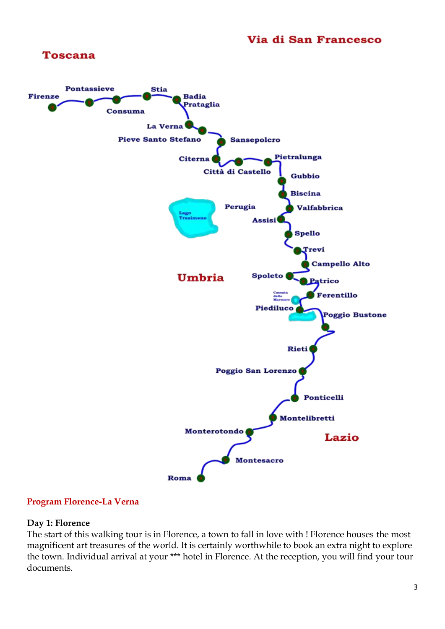

#### **Program Florence-La Verna**

#### **Day 1: Florence**

The start of this walking tour is in Florence, a town to fall in love with ! Florence houses the most magnificent art treasures of the world. It is certainly worthwhile to book an extra night to explore the town. Individual arrival at your \*\*\* hotel in Florence. At the reception, you will find your tour documents.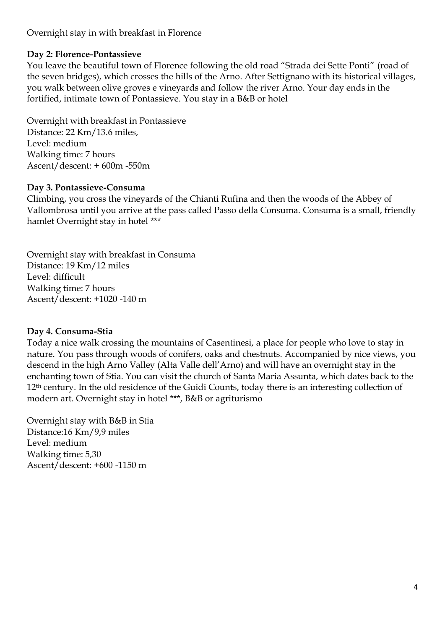Overnight stay in with breakfast in Florence

### **Day 2: Florence-Pontassieve**

You leave the beautiful town of Florence following the old road "Strada dei Sette Ponti" (road of the seven bridges), which crosses the hills of the Arno. After Settignano with its historical villages, you walk between olive groves e vineyards and follow the river Arno. Your day ends in the fortified, intimate town of Pontassieve. You stay in a B&B or hotel

Overnight with breakfast in Pontassieve Distance: 22 Km/13.6 miles, Level: medium Walking time: 7 hours Ascent/descent: + 600m -550m

#### **Day 3. Pontassieve-Consuma**

Climbing, you cross the vineyards of the Chianti Rufina and then the woods of the Abbey of Vallombrosa until you arrive at the pass called Passo della Consuma. Consuma is a small, friendly hamlet Overnight stay in hotel \*\*\*

Overnight stay with breakfast in Consuma Distance: 19 Km/12 miles Level: difficult Walking time: 7 hours Ascent/descent: +1020 -140 m

#### **Day 4. Consuma-Stia**

Today a nice walk crossing the mountains of Casentinesi, a place for people who love to stay in nature. You pass through woods of conifers, oaks and chestnuts. Accompanied by nice views, you descend in the high Arno Valley (Alta Valle dell'Arno) and will have an overnight stay in the enchanting town of Stia. You can visit the church of Santa Maria Assunta, which dates back to the 12<sup>th</sup> century. In the old residence of the Guidi Counts, today there is an interesting collection of modern art. Overnight stay in hotel \*\*\*, B&B or agriturismo

Overnight stay with B&B in Stia Distance:16 Km/9,9 miles Level: medium Walking time: 5,30 Ascent/descent: +600 -1150 m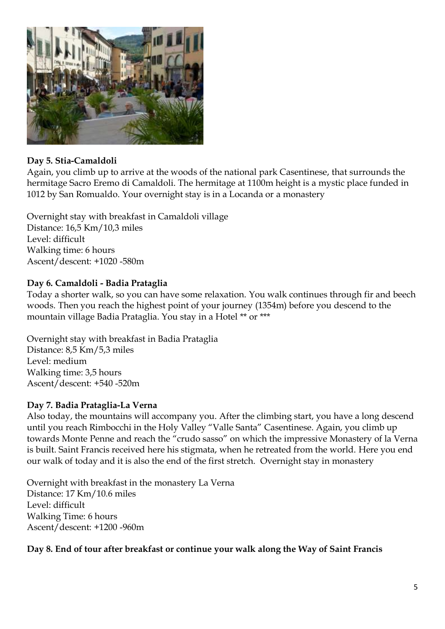

### **Day 5. Stia-Camaldoli**

Again, you climb up to arrive at the woods of the national park Casentinese, that surrounds the hermitage Sacro Eremo di Camaldoli. The hermitage at 1100m height is a mystic place funded in 1012 by San Romualdo. Your overnight stay is in a Locanda or a monastery

Overnight stay with breakfast in Camaldoli village Distance: 16,5 Km/10,3 miles Level: difficult Walking time: 6 hours Ascent/descent: +1020 -580m

# **Day 6. Camaldoli - Badia Prataglia**

Today a shorter walk, so you can have some relaxation. You walk continues through fir and beech woods. Then you reach the highest point of your journey (1354m) before you descend to the mountain village Badia Prataglia. You stay in a Hotel \*\* or \*\*\*

Overnight stay with breakfast in Badia Prataglia Distance: 8,5 Km/5,3 miles Level: medium Walking time: 3,5 hours Ascent/descent: +540 -520m

### **Day 7. Badia Prataglia-La Verna**

Also today, the mountains will accompany you. After the climbing start, you have a long descend until you reach Rimbocchi in the Holy Valley "Valle Santa" Casentinese. Again, you climb up towards Monte Penne and reach the "crudo sasso" on which the impressive Monastery of la Verna is built. Saint Francis received here his stigmata, when he retreated from the world. Here you end our walk of today and it is also the end of the first stretch. Overnight stay in monastery

Overnight with breakfast in the monastery La Verna Distance: 17 Km/10.6 miles Level: difficult Walking Time: 6 hours Ascent/descent: +1200 -960m

### **Day 8. End of tour after breakfast or continue your walk along the Way of Saint Francis**